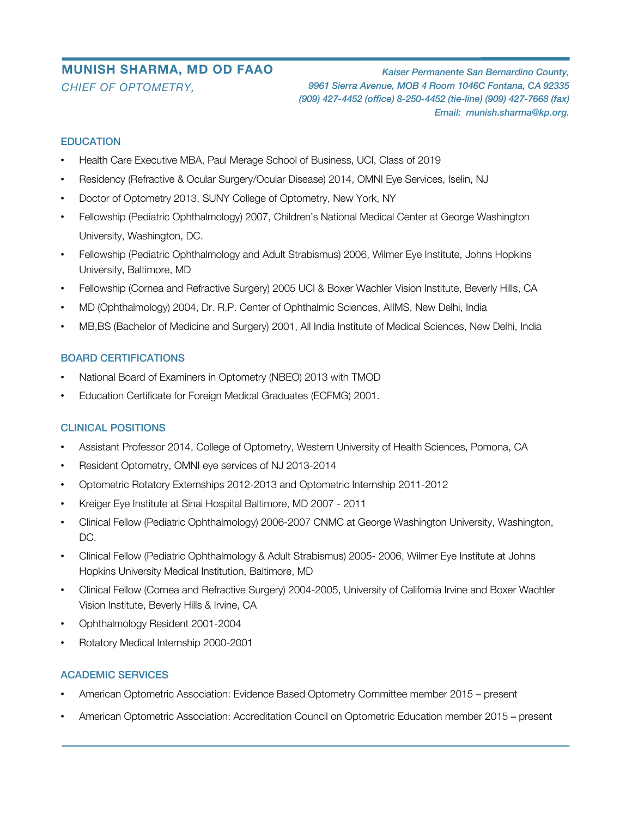# **MUNISH SHARMA, MD OD FAAO** *CHIEF OF OPTOMETRY,*

*Kaiser Permanente San Bernardino County, 9961 Sierra Avenue, MOB 4 Room 1046C Fontana, CA 92335 (909) 427-4452 (office) 8-250-4452 (tie-line) (909) 427-7668 (fax) Email: munish.sharma@kp.org.*

## **EDUCATION**

- Health Care Executive MBA, Paul Merage School of Business, UCI, Class of 2019
- Residency (Refractive & Ocular Surgery/Ocular Disease) 2014, OMNI Eye Services, Iselin, NJ
- Doctor of Optometry 2013, SUNY College of Optometry, New York, NY
- Fellowship (Pediatric Ophthalmology) 2007, Children's National Medical Center at George Washington University, Washington, DC.
- Fellowship (Pediatric Ophthalmology and Adult Strabismus) 2006, Wilmer Eye Institute, Johns Hopkins University, Baltimore, MD
- Fellowship (Cornea and Refractive Surgery) 2005 UCI & Boxer Wachler Vision Institute, Beverly Hills, CA
- MD (Ophthalmology) 2004, Dr. R.P. Center of Ophthalmic Sciences, AIIMS, New Delhi, India
- MB,BS (Bachelor of Medicine and Surgery) 2001, All India Institute of Medical Sciences, New Delhi, India

## BOARD CERTIFICATIONS

- National Board of Examiners in Optometry (NBEO) 2013 with TMOD
- Education Certificate for Foreign Medical Graduates (ECFMG) 2001.

#### CLINICAL POSITIONS

- Assistant Professor 2014, College of Optometry, Western University of Health Sciences, Pomona, CA
- Resident Optometry, OMNI eye services of NJ 2013-2014
- Optometric Rotatory Externships 2012-2013 and Optometric Internship 2011-2012
- Kreiger Eye Institute at Sinai Hospital Baltimore, MD 2007 2011
- Clinical Fellow (Pediatric Ophthalmology) 2006-2007 CNMC at George Washington University, Washington, DC.
- Clinical Fellow (Pediatric Ophthalmology & Adult Strabismus) 2005- 2006, Wilmer Eye Institute at Johns Hopkins University Medical Institution, Baltimore, MD
- Clinical Fellow (Cornea and Refractive Surgery) 2004-2005, University of California Irvine and Boxer Wachler Vision Institute, Beverly Hills & Irvine, CA
- Ophthalmology Resident 2001-2004
- Rotatory Medical Internship 2000-2001

## ACADEMIC SERVICES

- American Optometric Association: Evidence Based Optometry Committee member 2015 present
- American Optometric Association: Accreditation Council on Optometric Education member 2015 present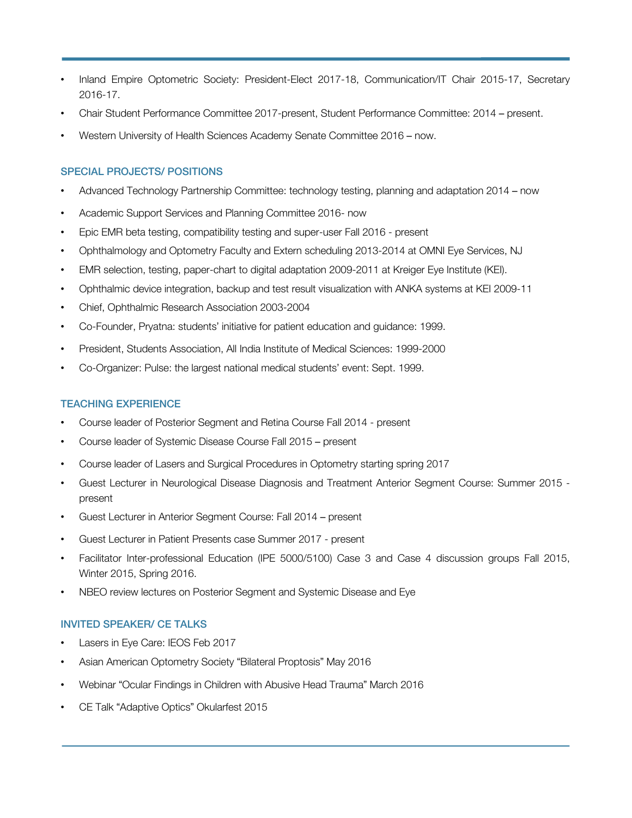- Inland Empire Optometric Society: President-Elect 2017-18, Communication/IT Chair 2015-17, Secretary 2016-17.
- Chair Student Performance Committee 2017-present, Student Performance Committee: 2014 present.
- Western University of Health Sciences Academy Senate Committee 2016 now.

#### SPECIAL PROJECTS/ POSITIONS

- Advanced Technology Partnership Committee: technology testing, planning and adaptation 2014 now
- Academic Support Services and Planning Committee 2016- now
- Epic EMR beta testing, compatibility testing and super-user Fall 2016 present
- Ophthalmology and Optometry Faculty and Extern scheduling 2013-2014 at OMNI Eye Services, NJ
- EMR selection, testing, paper-chart to digital adaptation 2009-2011 at Kreiger Eye Institute (KEI).
- Ophthalmic device integration, backup and test result visualization with ANKA systems at KEI 2009-11
- Chief, Ophthalmic Research Association 2003-2004
- Co-Founder, Pryatna: students' initiative for patient education and guidance: 1999.
- President, Students Association, All India Institute of Medical Sciences: 1999-2000
- Co-Organizer: Pulse: the largest national medical students' event: Sept. 1999.

## TEACHING EXPERIENCE

- Course leader of Posterior Segment and Retina Course Fall 2014 present
- Course leader of Systemic Disease Course Fall 2015 present
- Course leader of Lasers and Surgical Procedures in Optometry starting spring 2017
- Guest Lecturer in Neurological Disease Diagnosis and Treatment Anterior Segment Course: Summer 2015 present
- Guest Lecturer in Anterior Segment Course: Fall 2014 present
- Guest Lecturer in Patient Presents case Summer 2017 present
- Facilitator Inter-professional Education (IPE 5000/5100) Case 3 and Case 4 discussion groups Fall 2015, Winter 2015, Spring 2016.
- NBEO review lectures on Posterior Segment and Systemic Disease and Eye

#### INVITED SPEAKER/ CE TALKS

- Lasers in Eye Care: IEOS Feb 2017
- Asian American Optometry Society "Bilateral Proptosis" May 2016
- Webinar "Ocular Findings in Children with Abusive Head Trauma" March 2016
- CE Talk "Adaptive Optics" Okularfest 2015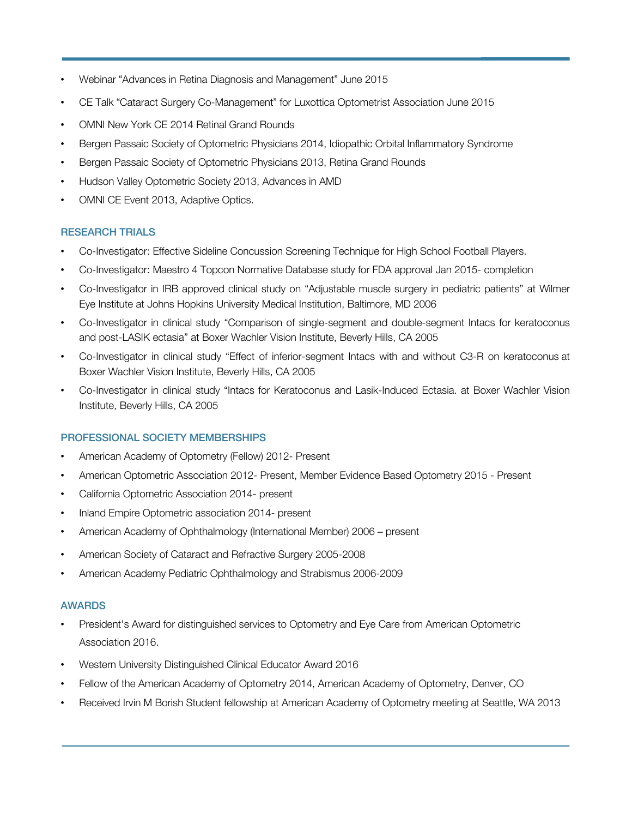- Webinar "Advances in Retina Diagnosis and Management" June 2015
- CE Talk "Cataract Surgery Co-Management" for Luxottica Optometrist Association June 2015
- OMNI New York CE 2014 Retinal Grand Rounds
- Bergen Passaic Society of Optometric Physicians 2014, Idiopathic Orbital Inflammatory Syndrome
- Bergen Passaic Society of Optometric Physicians 2013, Retina Grand Rounds
- Hudson Valley Optometric Society 2013, Advances in AMD
- OMNI CE Event 2013, Adaptive Optics.

## RESEARCH TRIALS

- Co-Investigator: Effective Sideline Concussion Screening Technique for High School Football Players.
- Co-Investigator: Maestro 4 Topcon Normative Database study for FDA approval Jan 2015- completion
- Co-Investigator in IRB approved clinical study on "Adjustable muscle surgery in pediatric patients" at Wilmer Eye Institute at Johns Hopkins University Medical Institution, Baltimore, MD 2006
- Co-Investigator in clinical study "Comparison of single-segment and double-segment Intacs for keratoconus and post-LASIK ectasia" at Boxer Wachler Vision Institute, Beverly Hills, CA 2005
- Co-Investigator in clinical study "Effect of inferior-segment Intacs with and without C3-R on keratoconus at Boxer Wachler Vision Institute, Beverly Hills, CA 2005
- Co-Investigator in clinical study "Intacs for Keratoconus and Lasik-Induced Ectasia. at Boxer Wachler Vision Institute, Beverly Hills, CA 2005

#### PROFESSIONAL SOCIETY MEMBERSHIPS

- American Academy of Optometry (Fellow) 2012- Present
- American Optometric Association 2012- Present, Member Evidence Based Optometry 2015 Present
- California Optometric Association 2014- present
- Inland Empire Optometric association 2014- present
- American Academy of Ophthalmology (International Member) 2006 present
- American Society of Cataract and Refractive Surgery 2005-2008
- American Academy Pediatric Ophthalmology and Strabismus 2006-2009

#### AWARDS

- President's Award for distinguished services to Optometry and Eye Care from American Optometric Association 2016.
- Western University Distinguished Clinical Educator Award 2016
- Fellow of the American Academy of Optometry 2014, American Academy of Optometry, Denver, CO
- Received Irvin M Borish Student fellowship at American Academy of Optometry meeting at Seattle, WA 2013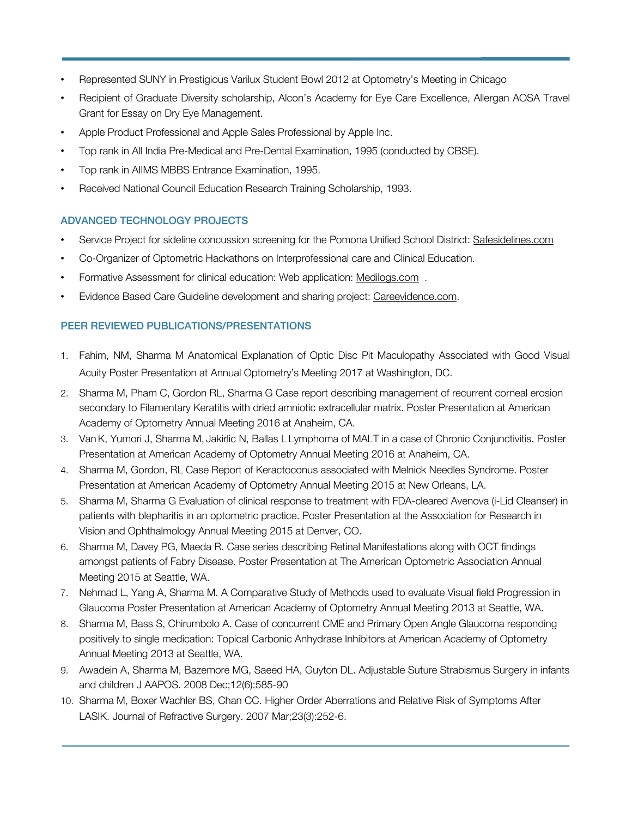- Represented SUNY in Prestigious Varilux Student Bowl 2012 at Optometry's Meeting in Chicago
- Recipient of Graduate Diversity scholarship, Alcon's Academy for Eye Care Excellence, Allergan AOSA Travel Grant for Essay on Dry Eye Management.
- Apple Product Professional and Apple Sales Professional by Apple Inc.
- Top rank in All India Pre-Medical and Pre-Dental Examination, 1995 (conducted by CBSE).
- Top rank in AIIMS MBBS Entrance Examination, 1995.
- Received National Council Education Research Training Scholarship, 1993.

## ADVANCED TECHNOLOGY PROJECTS

- Service Project for sideline concussion screening for the Pomona Unified School District: Safesidelines.com
- Co-Organizer of Optometric Hackathons on Interprofessional care and Clinical Education.
- Formative Assessment for clinical education: Web application: Medilogs.com .
- Evidence Based Care Guideline development and sharing project: Careevidence.com.

## PEER REVIEWED PUBLICATIONS/PRESENTATIONS

- 1. Fahim, NM, Sharma M Anatomical Explanation of Optic Disc Pit Maculopathy Associated with Good Visual Acuity Poster Presentation at Annual Optometry's Meeting 2017 at Washington, DC.
- 2. Sharma M, Pham C, Gordon RL, Sharma G Case report describing management of recurrent corneal erosion secondary to Filamentary Keratitis with dried amniotic extracellular matrix. Poster Presentation at American Academy of Optometry Annual Meeting 2016 at Anaheim, CA.
- 3. VanK, Yumori J, Sharma M, Jakirlic N, Ballas L Lymphoma of MALT in a case of Chronic Conjunctivitis. Poster Presentation at American Academy of Optometry Annual Meeting 2016 at Anaheim, CA.
- 4. Sharma M, Gordon, RL Case Report of Keractoconus associated with Melnick Needles Syndrome. Poster Presentation at American Academy of Optometry Annual Meeting 2015 at New Orleans, LA.
- 5. Sharma M, Sharma G Evaluation of clinical response to treatment with FDA-cleared Avenova (i-Lid Cleanser) in patients with blepharitis in an optometric practice. Poster Presentation at the Association for Research in Vision and Ophthalmology Annual Meeting 2015 at Denver, CO.
- 6. Sharma M, Davey PG, Maeda R. Case series describing Retinal Manifestations along with OCT findings amongst patients of Fabry Disease. Poster Presentation at The American Optometric Association Annual Meeting 2015 at Seattle, WA.
- 7. Nehmad L, Yang A, Sharma M. A Comparative Study of Methods used to evaluate Visual field Progression in Glaucoma Poster Presentation at American Academy of Optometry Annual Meeting 2013 at Seattle, WA.
- 8. Sharma M, Bass S, Chirumbolo A. Case of concurrent CME and Primary Open Angle Glaucoma responding positively to single medication: Topical Carbonic Anhydrase Inhibitors at American Academy of Optometry Annual Meeting 2013 at Seattle, WA.
- 9. Awadein A, Sharma M, Bazemore MG, Saeed HA, Guyton DL. Adjustable Suture Strabismus Surgery in infants and children J AAPOS. 2008 Dec;12(6):585-90
- 10. Sharma M, Boxer Wachler BS, Chan CC. Higher Order Aberrations and Relative Risk of Symptoms After LASIK. Journal of Refractive Surgery. 2007 Mar;23(3):252-6.